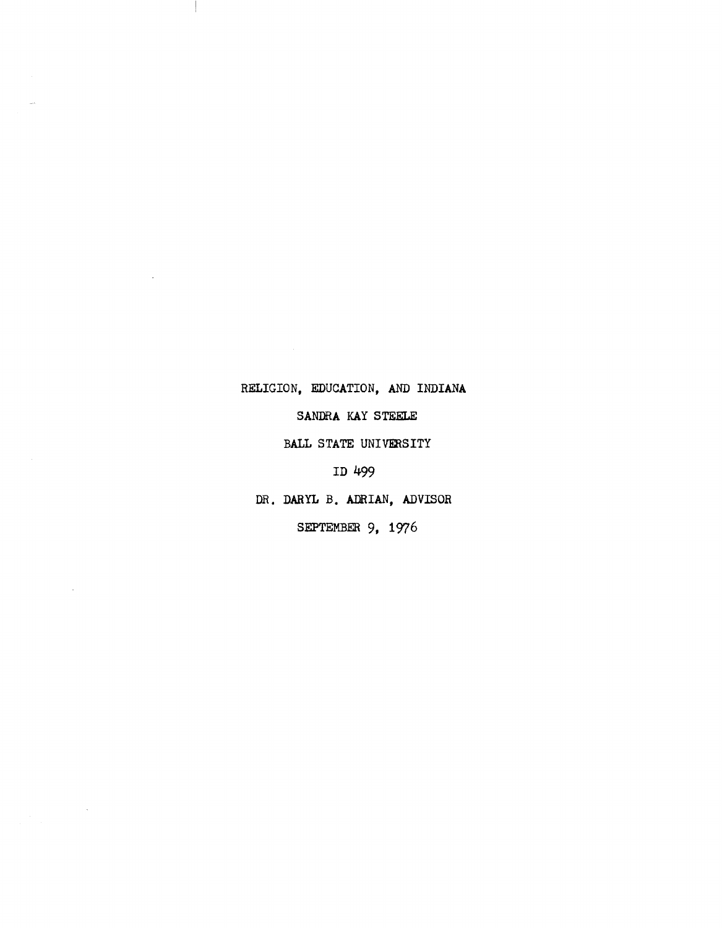## RELIGION, EDUCATION, AND INDIANA

4

 $\mathbf{r}$ 

 $\hat{\mathcal{A}}$ 

SANDRA KAY STEELE

BALL STATE UNIVERSITY

ID 499

DR. DARYL B. ADRIAN, ADVISOR

SEPTEMBER 9, 1976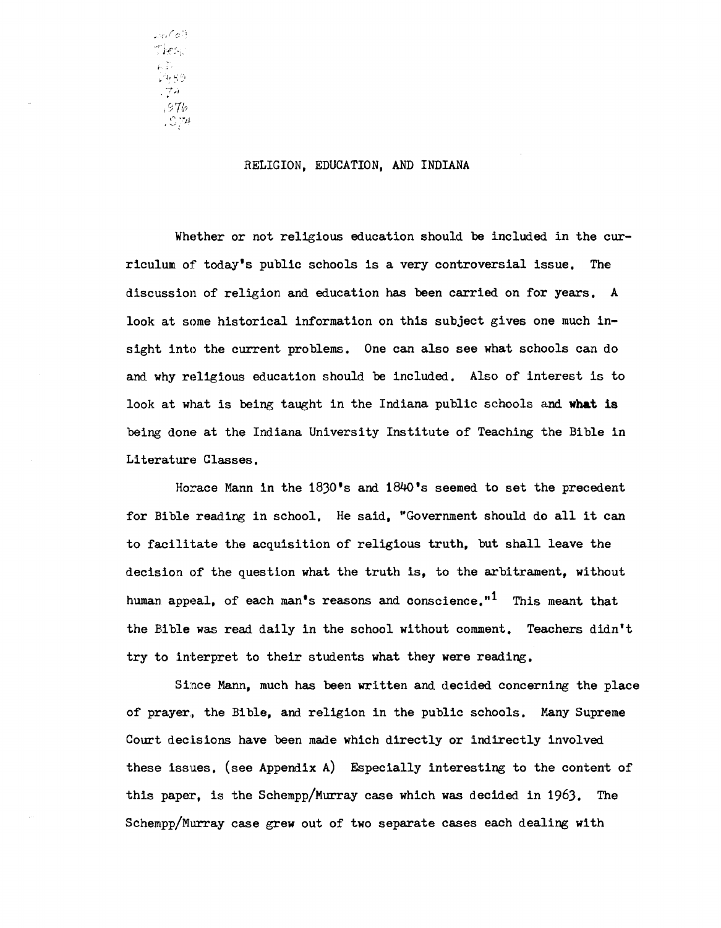/::; 1 Ties.  $\sqrt[3]{\phi}$ 99  $774$ <sup>i</sup>*s7t?*   $\int \mathcal{L} \mathcal{L} \mathcal{L}$ 

### RELIGION, EDUCATION, AND INDIANA

Whether or not religious education should be included in the curriculum of today's public schools is a very controversial issue. The discussion of religion and education has been carried on for years. A look at some historical information on this subject gives one much insight into the current problems. One can also see what schools can do and why religious education should be included. Also of interest is to look at what is being taught in the Indiana public schools and **what is**  being done at the Indiana University Institute of Teaching the Bible in Literature Classes.

Horace Mann in the 1830's and 1840's seemed to set the precedent for Bible reading in SChool. He said, "Government should do all it can to facilitate the acquisition of religious truth, but shall leave the decision of the question what the truth is, to the arbitrament, without human appeal, of each man's reasons and conscience."<sup>1</sup> This meant that the Bible was read daily in the school without comment. Teachers didn't try to interpret to their students what they were reading.

Since Mann, much has been written and decided concerning the place of prayer., the Bible, and religion in the public schools. Many Supreme Court decisions have been made which directly or indirectly involved these issues. (see Appendix A) Especially interesting to the content of this paper, is the Schempp/Murray case which was decided in 1963. The Schempp/Murray case grew out of two separate cases each dealing with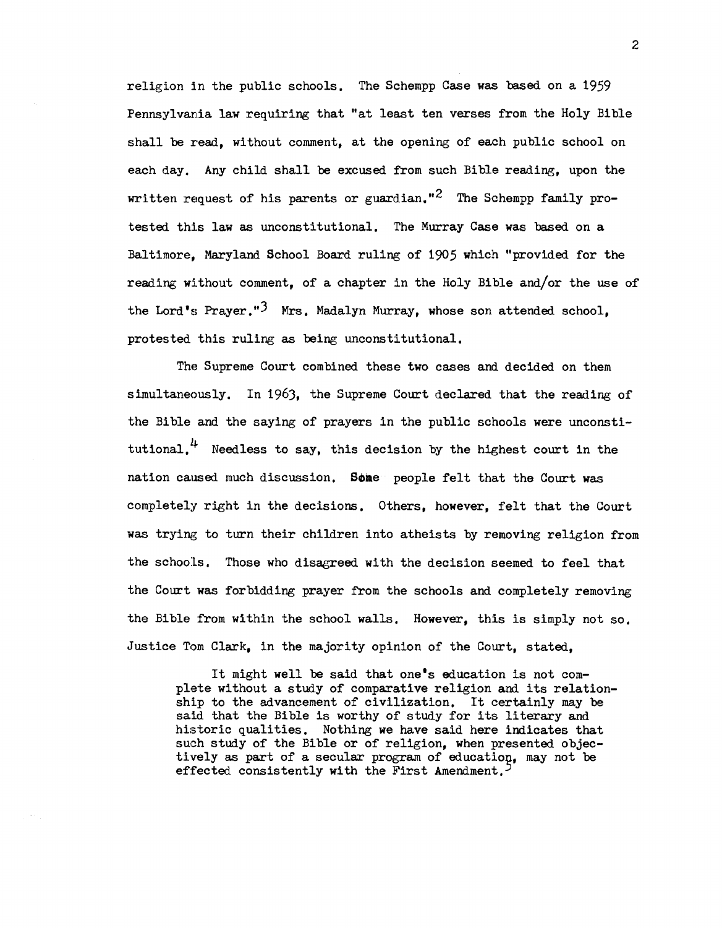religion in the public schools. The Schempp Case was based on a 1959 Pennsylvania law requiring that "at least ten verses from the Holy Bible shall be read, without comment, at the opening of each public school on each day. Any child shall be excused from such Bible reading, upon the written request of his parents or guardian."<sup>2</sup> The Schempp family protested this law as unconstitutional. The Murray Case was based on a Baltimore, Maxyland School Board ruling of 1905 which "provided for the reading without comment, of a chapter in the Holy Bible and/or the use of the Lord's Prayer."<sup>3</sup> Mrs. Madalyn Murray, whose son attended school. protested this ruling as being unconstitutional.

The Supreme Court combined these two cases and decided on them simultaneously. In 1963, the Supreme Court declared that the reading of the Bible and the saying of prayers in the public schools were unconstitutional.<sup>4</sup> Needless to say, this decision by the highest court in the nation caused much discussion. Some people felt that the Court was completely right in the decisions. Others, however, felt that the Court was trying to turn their children into atheists by removing religion from the schools. Those who disagreed with the decision seemed to feel that the Court was forbidding prayer from the schools and completely removing the Bible from within the school walls. However, this is simply not so. Justice Tom Clark, in the majority opinion of the Court, stated,

It might well be said that one's education is not complete without a study of comparative religion and its relationship to the advancement of civilization. It certainly may be said that the Bible is worthy of study for its literary and historic qualities. Nothing we have said here indicates that such study of the Bible or of religion, when presented objectively as part of a secular program of educatiog, may not be effected consistently with the First Amendment.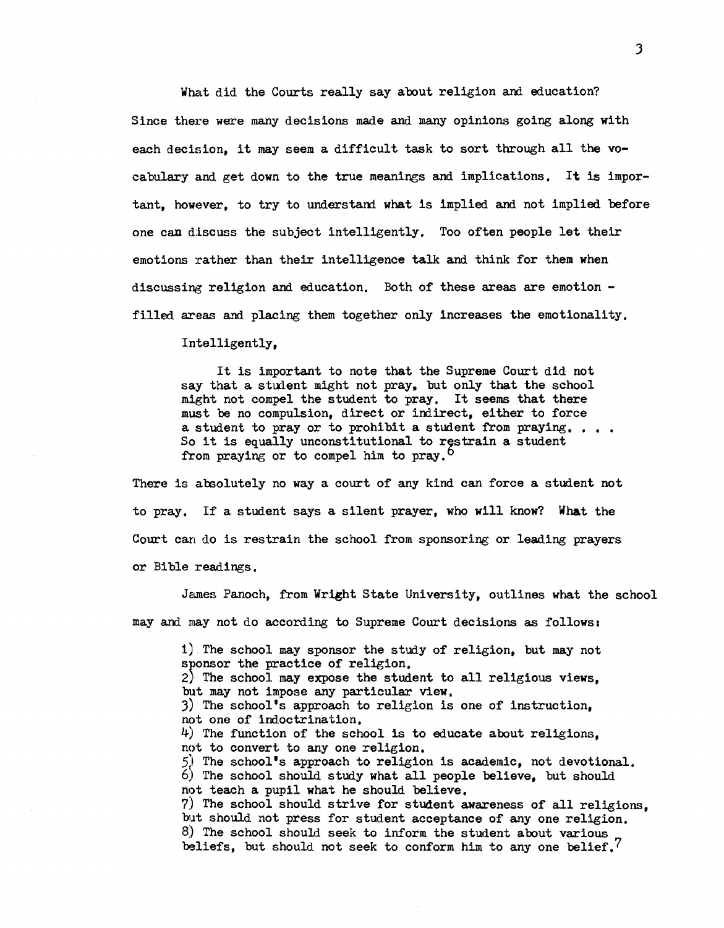What did the Courts really say about religion and education? Since there were many decisions made and many opinions going along with each decision, it may seem a difficult task to sort through all the vocabulary and get down to the true meanings and implications. It is important, however, to try to understand what is implied and not implied before one can discuss the subject intelligently. Too often people let their emotions rather than their intelligence talk and think for them when discussing religion and education. Both of these areas are emotion filled areas and placing them together only increases the emotionality.

Intelligently,

It is important to note that the Supreme Court did not say that a student might not pray, but only that the school might not compel the student to pray. It seems that there must be no compulsion, direct or indirect, either to force must be no compulsion, direct or indirect, either to force a student to pray or to prohibit a student from praying.... So it is equally unconstitutional to rgstrain a student from praying or to compel him to pray.<sup>0</sup>

There is absolutely no way a court of any kind can force a student not to pray. If a student says a silent prayer, who will know? What the Court can do is restrain the school from sponsoring or leading prayers or Bible readings.

James Panoch, from Wright State University, outlines what the school may and may not do according to Supreme Court decisions as follows:

1) The school may sponsor the study of religion, but may not sponsor the practice of religion. 2) The school may expose the student to all religious views, but may not impose any particular view. J) The school's approach to religion is one of instruction, not one of indoctrination. 4) The function of the school is to educate about religions, not to convert to any one religion.  $5)$  The school's approach to religion is academic, not devotional. 6) The school should study what all people believe, but should not teach a pupil what he should believe. 7) The school should strive for student awareness of all religions, blt should not press for student acceptance of anyone religion. 8) The school should seek to inform the student about various beliefs, but should not seek to conform him to any one belief.<sup>7</sup>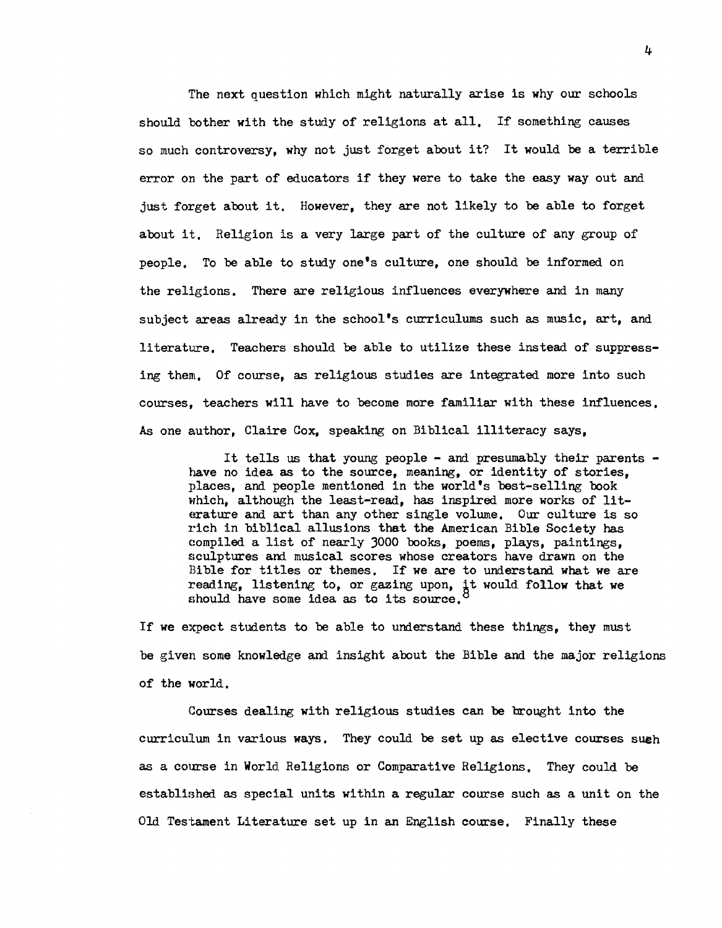The next question which might naturally arise is why our schools should bother with the study of religions at all. If something causes so much controversy, why not just forget about it? It would be a terrible error on the part of educators if they were to take the easy way out and just forget about it. However, they are not likely to be able to forget about it. Religion is a very large part of the culture of any group of people. To be able to study one's culture, one should be informed on the religions. There are religious influences everywhere and in many subject areas already in the school's curriculums such as music, art, and literature. Teachers should be able to utilize these instead of suppressing them. Of course, as religious studies are integrated more into such courses, teachers will have to become more familiar with these influences. As one author, Claire Cox, speaking on Biblical illiteracy says,

It tells us that young people - and presumably their parents have no idea as to the source, meaning, or identity of stories, places, and people mentioned in the world's best-selling book which, although the least-read, has inspired more works of literature and art than any other single volume. Our culture is so rich in biblical allusions that the American Bible Society has compiled a list of nearly 3000 books, poems, plays, paintings, sculptures and musical scores whose creators have drawn on the Bible for titles or themes. If we are to understand what we are reading, listening to, or gazing upon, it would follow that we should have some idea as to its source.

If we expect students to be able to understand these things, they must be given some knowledge and insight about the Bible and the major religions of the world.

Courses dealing with religious studies can be brought into the curriculum in various ways. They could be set up as elective courses sueh as a course in World Religions or Comparative Religions. They could be establighed as special units wi thin a regular course such as a unit on the Old Testament Literature set up in an English course. Finally these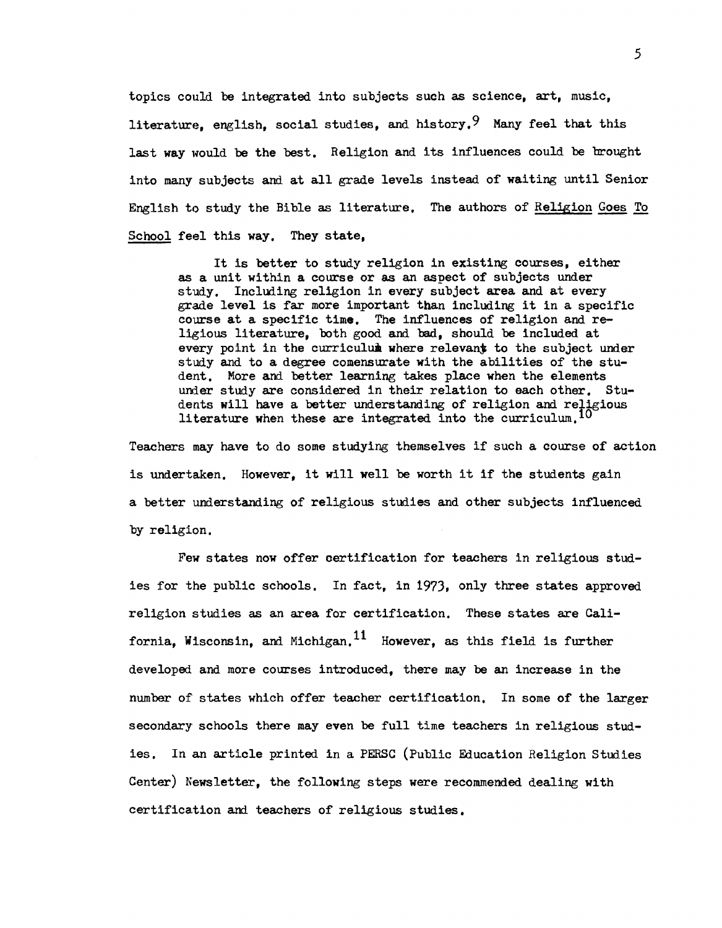topics could be integrated into subjects such as science, art, music, literature, english, social studies, and history. <sup>9</sup> Many feel that this last way would be the best. Religion and its influences could be brought into many subjects and at all grade levels instead of waiting until Senior English to study the Bible as literature. The authors of Religion Goes To School feel this way. They state,

It is better to study religion in existing courses, either as a unit wi thin a course or as an aspect of subjects under study. Including religion in every subject area and at every grade level is far more important than including it in a specific course at a specific time. The influences of religion and religious literature, both good and bad, should be included at every point in the curriculum where relevant to the subject under study and to a degree comensurate with the abilities of the student. More and better learning takes place when the elements under study are considered in their relation to each other. Students will have a better understanding of religion and religious literature when these are integrated into the curriculum.  $\overline{10}$ 

Teachers may have to do some studying themselves if such a course of action is undertaken. However, it will well be worth it if the students gain a better understanding of religious studies and other subjects influenced by religion.

Few states now offer oertification for teachers in religious studies for the public schools. In fact, in 1973, only three states approved religion studies as an area for certification. These states are California, Wisconsin, and Michigan.<sup>11</sup> However, as this field is further developed and more courses introduced, there may be an increase in the number of states which offer teacher certification. In some of the larger secondary schools there may even be full time teachers in religious studies. In an article printed in a PERSC (Public Education Religion Studies Center) Newsletter, the following steps were recommended dealing with certification and teachers of religious studies.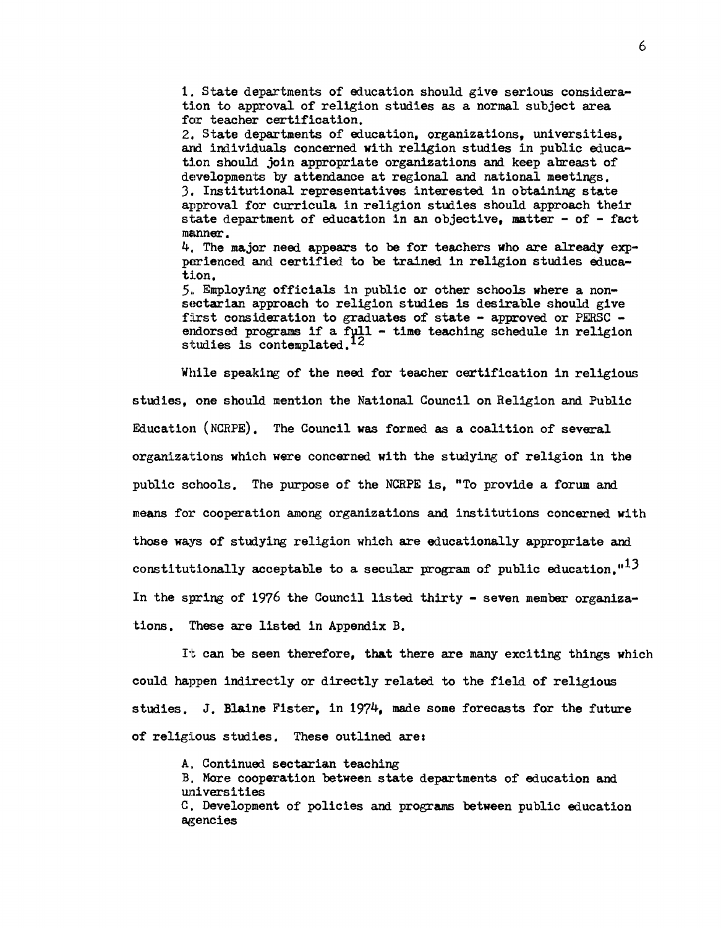1. State departments of education should give serious consideration to approval of religion studies as a normal subject area for teacher certification.

2. State departments of education, organizations, universities, and individuals concerned with religion studies in public education should join appropriate organizations and keep abreast of developments by attendance at regional and national meetings, 3. Institutional representatives interested in obtaining state approval for curricula in religion studies should approach their state department of education in an objective, matter - of - fact manner.

4. The major need appears to be for teachers who are already expperienced and certified to be trained in religion studies educatlon.

5., Employing officials in public or other schools where a nonsectarian approach to religion studies is desirable should give first consideration to graduates of state - approved or PERSC endorsed programs if a full - time teaching schedule in religion studies is contemplated.<sup>12</sup>

While speaking of the need for teacher certification in religious studies, one should mention the National Council on Religion and Public Education (NCRPE), The Council was formed as a coalition of several organizations which were concerned with the studying of religion in the public schools. The purpose of the NCRPE is, "To provide a forum and means for cooperation among organizations and institutions concerned with those ways of studying religion which are educationally appropriate and constitutionally acceptable to a secular program of public education. $1<sup>13</sup>$ In the spring of 1976 the Council listed thirty - seven member organizations. These are listed in Appendix B.

It can be seen therefore, that there are many exciting things which could happen indirectly or directly related to the field of religious studies. J. Blaine Fister, in 1974, made some forecasts for the future of religious studies. These outlined are:

A. Continued sectarian teaching

B. More cooperation between state departments of education and universities C. Development of policies and programs between public education agencies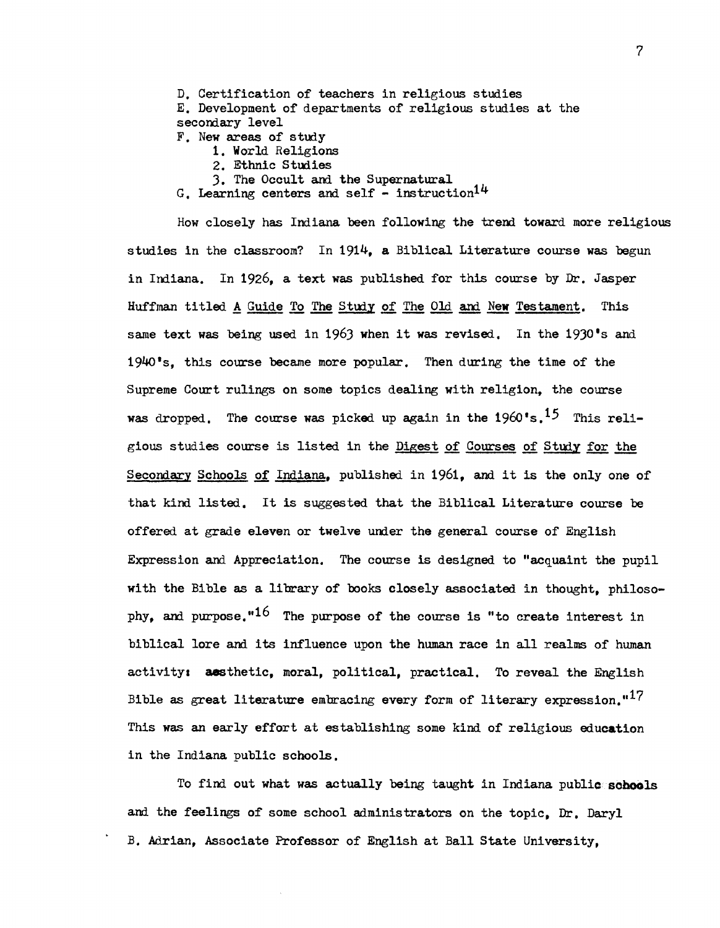D. Certification of teachers in religious studies E. Development of departments of religious studies at the secomary level F. New areas of study 1. World Religions 2. Ethnic Studies 3. The Occult and the Supernatural

G. Learning centers and self - instruction<sup>14</sup>

How closely has Indiana been following the trend toward more religious studies in the classroom? In 1914, a Biblical Literature course was begun in Indiana. In 1926, a text was published for this course by Dr. Jasper Huffman titled A Guide To The Study of The Old and New Testament. This same text was being used in 1963 when it was revised. In the 1930's and 1940 • s, this course became more popular. Then during the time of the Supreme Court rulings on some topics dealing with religion, the course was dropped. The course was picked up again in the 1960's.<sup>15</sup> This religious studies course is listed in the Digest of Courses of Study for the Secondary Schools of Indiana, published in 1961, and it is the only one of that kind listed. It is suggested that the Biblical Literature course be offered at grade eleven or twelve under the general course of English Expression and Appreciation. The course is designed to "acquaint the pupil with the Bible as a library of books closely associated in thought, philosophy, and purpose." $16$  The purpose of the course is "to create interest in biblical lore and. its influence upon the human race in all realms of human activity: aesthetic, moral, political, practical. To reveal the English Bible as great literature embracing every form of literary expression."<sup>17</sup> This was an early effort at establishing some kind of religious education in the Indiana public schools.

To find. out what was actually being taught in Indiana public sohools and the feelings of some school administrators on the topic, Dr. Daryl B. Adrian, Associate Professor of English at Ball State University,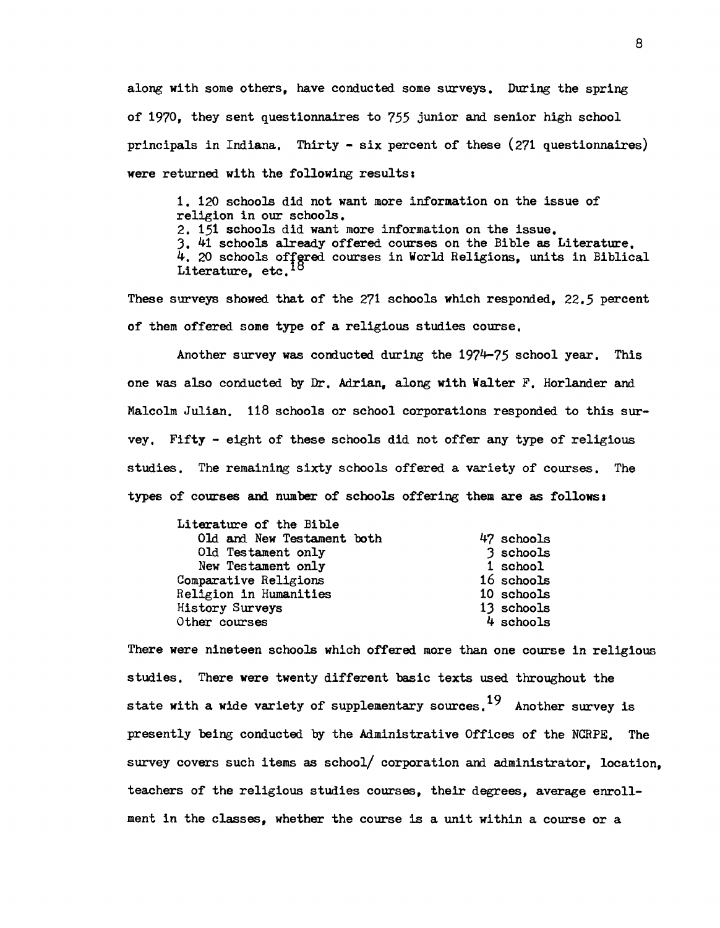along with some others, have conducted some surveys. During the spring of 1970, they sent questionnaires to 755 junior and senior high school principals in Indiana. Thirty - six percent of these (271 questionnaires) were returned with the following results:

1. 120 schools did not want more information on the issue of religion in our schools. 2. 151 schools did want more information on the issue. 3. 41 schools already offered courses on the Bible as Literature.  $4.$  20 schools offgred courses in World Religions, units in Biblical Literature, etc.<sup>16</sup>

These surveys showed that of the 271 schools which responded, 22.5 percent of them offered some type of a religious studies course.

Another survey was conducted during the 1974-75 school year. This one was also conducted by Dr. Adrian, along with Walter F. Horlander and Malcolm Julian. 118 schools or school corporations responded to this survey. Fifty - eight of these schools did not offer any type of religious studies. The remaining sixty schools offered a variety of courses. The types of courses and number of schools offering them are as follows <sup>I</sup>

| Literature of the Bible    |            |
|----------------------------|------------|
| Old and New Testament both | 47 schools |
| Old Testament only         | 3 schools  |
| New Testament only         | 1 school   |
| Comparative Religions      | 16 schools |
| Religion in Humanities     | 10 schools |
| <b>History Surveys</b>     | 13 schools |
| Other courses              | 4 schools  |

There were nineteen schools which offered more than one course in religious studies. There were twenty different basic texts used throughout the state with a wide variety of supplementary sources.<sup>19</sup> Another survey is presently being conducted by the Administrative Offices of the NCRPE. The survey covers such items as school/ corporation and administrator, location, teachers of the religious studies courses, their degrees, average enrollment in the classes, whether the course is a unit within a course or a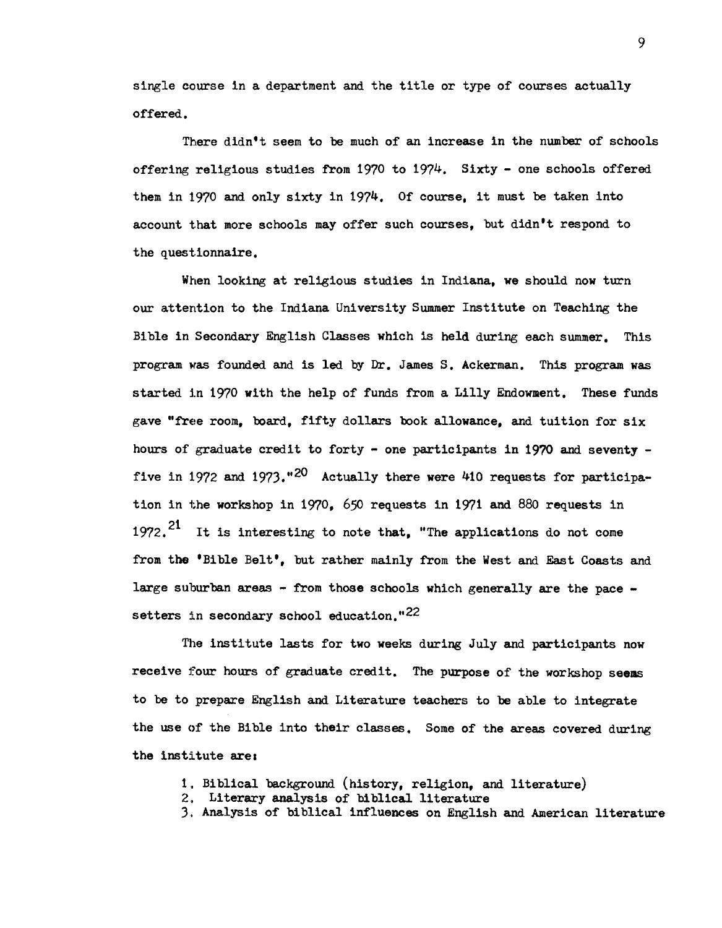single course in a department and the title or type of courses actually offered.

There didn't seem to be much of an increase in the number of schools offering religious studies from 1970 to 1974. Sixty - one schools offered them in 1970 and only sixty in 1974. Of course, it must be taken into account that more schools may offer such courses. but didn't respond to the questionnaire.

When looking at religious studies in Indiana, we should now turn our attention to the Indiana University Summer Institute on Teaching the Bible in Secondary English Classes which is held during each summer. This program was founded and is led by Dr. James S. Ackerman. This program was started in 1970 with the help of funds from a Lilly Endowment. These funds gave "free room, board, fifty dollars book allowance, and tuition for six hours of graduate credit to forty - one participants in 1970 and seventy five in 1972 and 1973.<sup>"20</sup> Actually there were 410 requests for participation in the workshop in 1970, 650 requests in 1971 and 880 requests in 1972.<sup>21</sup> It is interesting to note that, "The applications do not come from the 'Bible Belt', but rather mainly from the West and East Coasts and large suburban areas - from those schools which generally are the pace setters in secondary school education." $^{22}$ 

The institute lasts for two weeks during July and participants now receive four hours of graduate credit. The purpose of the workshop seems to be to prepare English and Literature teachers to be able to integrate the use of the Bible into their classes. Some of the areas covered during the institute are:

- 1. Biblical background (history, religion, and literature)
- 2. Literary analysis of biblical literature
- 3. Analysis of biblical influences on English and American literature

9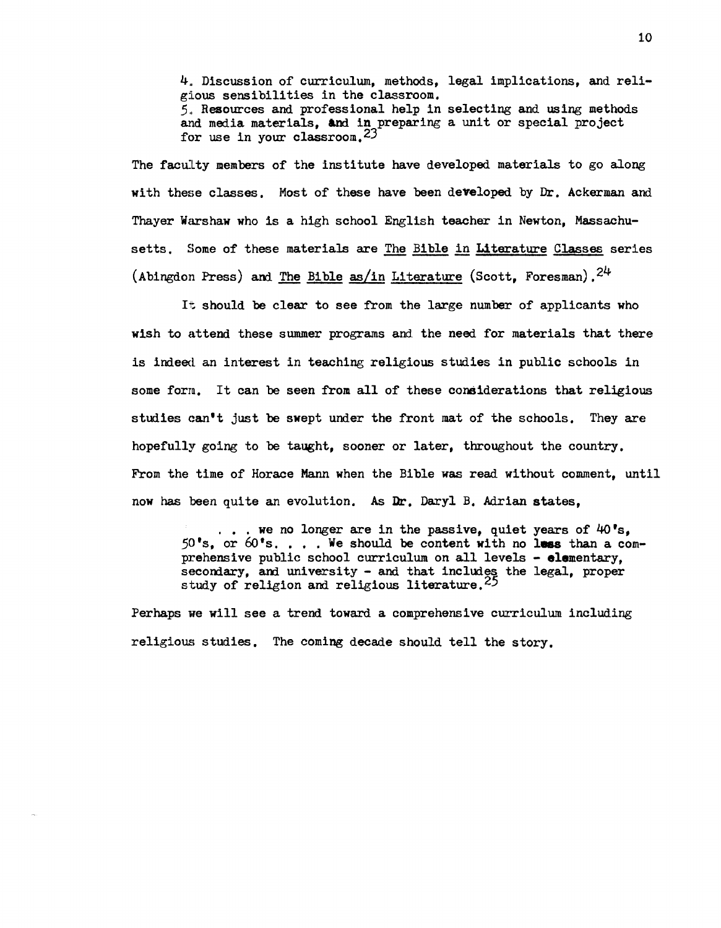4. Discussion of curriculum, methods, legal implications, and religious sensibilities in the classroom. 5. Resources and professional help in selecting and using methods and media materials, and in preparing a unit or special project for use in your classroom. 23

The faculty members of the institute have developed materials to go along with these classes. Most of these have been developed by Dr. Ackerman and Thayer Warshaw who is a high school English teacher in Newton, Massachusetts. Some of these materials are The Bible in Literature Classes series (Abingdon Press) and The Bible as/in Literature (Scott, Foresman).  $24$ 

It should be clear to see from the large number of applicants who wish to attend these summer programs and the need for materials that there is indeed. an interest in teaching religious studies in public schools in some form. It can be seen from all of these considerations that religious studies can't just be swept under the front mat of the schools. They are hopefully going to be taught, sooner or later, throughout the country. From the time of Horace Mann when the Bible was read without comment, until now has been quite an evolution. As Dr. Daryl B. Adrian states,

 $\ldots$  we no longer are in the passive, quiet years of  $40^{\circ}$ s, ... we no longer are in the passive, quiet years of  $40^{\circ}s$ ,<br>50's, or  $60^{\circ}s$ .... We should be content with no less than a com- $50$ <sup>t</sup>s, or  $60$ <sup>t</sup>s.... We should be content with no less than a com-<br>prehensive public school curriculum on all levels - **elementary**. secondary, and university - and that includes the legal, proper study of religion and religious literature.  $25$ 

Perhaps ne will see a trend toward a comprehensive curriculum including religious studies. The coming decade should tell the story.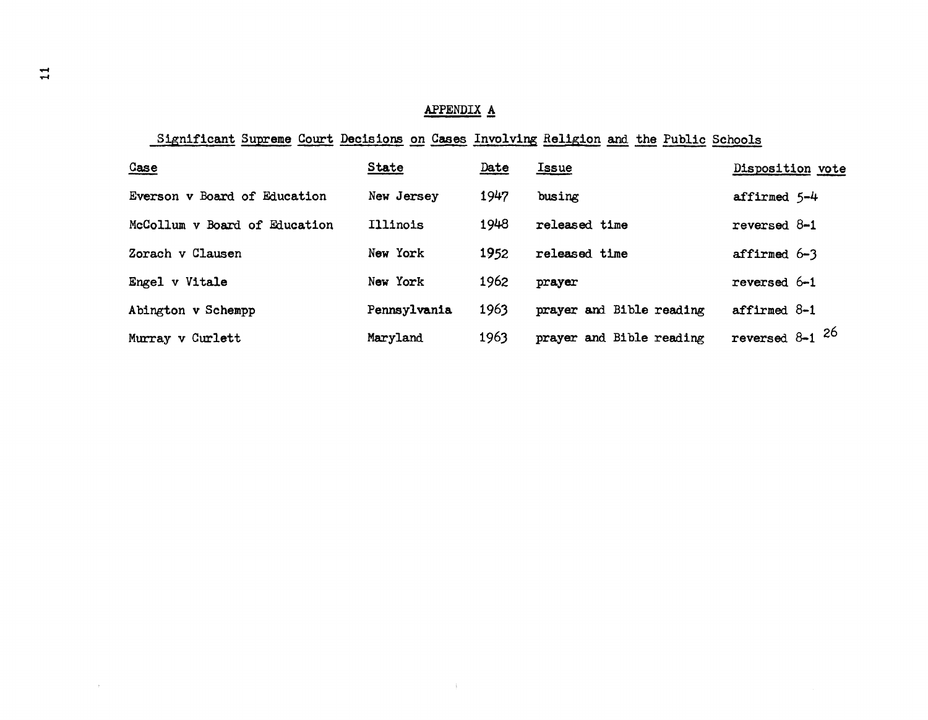# APPENDIX A

# Significant Supreme Court Decisions on Cases Involving Religion and the Public Schools

 $\pm$ 

| Case                          | <b>State</b> | Date | <u>Issue</u>             | Disposition vote    |
|-------------------------------|--------------|------|--------------------------|---------------------|
| Everson v Board of Education  | New Jersey   | 1947 | busing                   | affirmed 5-4        |
| McCollum v Board of Education | Illinois     | 1948 | released time            | reversed 8-1        |
| Zorach v Clausen              | New York     | 1952 | released time            | affirmed 6-3        |
| Engel v Vitale                | New York     | 1962 | prayer                   | reversed 6-1        |
| Abington v Schempp            | Pennsylvania | 1963 | prayer and Bible reading | affirmed $8-1$      |
| Murray v Curlett              | Maryland     | 1963 | prayer and Bible reading | reversed $8-1$ $26$ |

 $\Delta$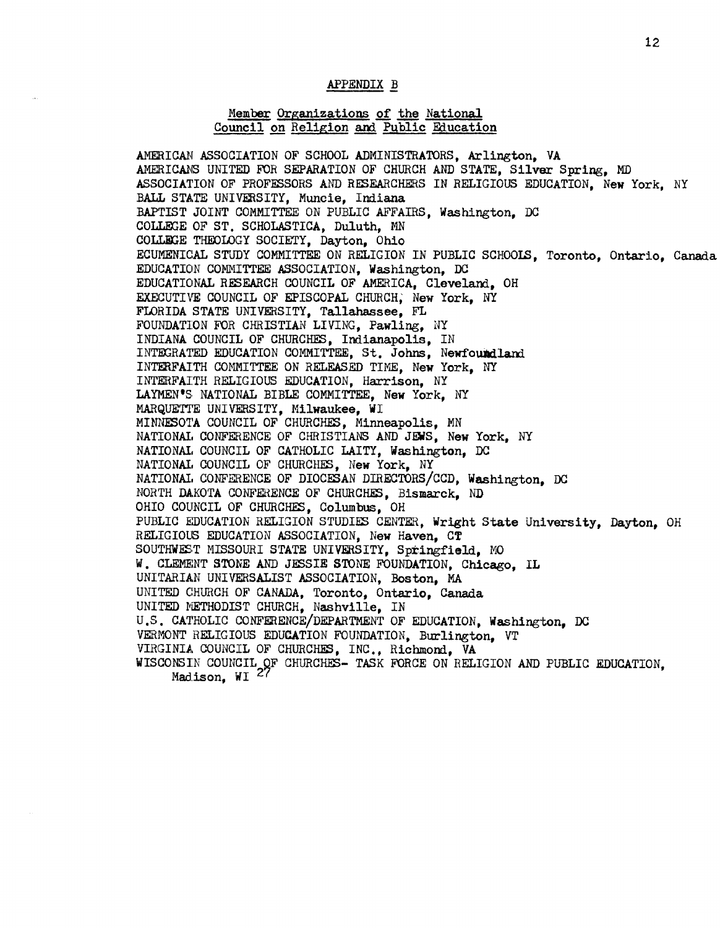## APPENDIX B

#### Member Organizations of the National Council on Religion and Public Education

AMERICAN ASSOCIATION OF SCHOOL ADMINISTRATORS, Arlington, VA AMERICANS UNITED FOR SEPARATION OF CHURCH AND STATE, Silver Spring, MD ASSOCIATION OF PROFESSORS AND RESEARCHERS IN RELIGIOUS EDUCATION, New York, NY BALL STATE UNIVERSITY, Muncie, Indiana BAPTIST JOINT COMMITTEE ON PUBLIC AFFAIRS, Washington, DC COLLEGE OF ST. SCHOLASTICA, Duluth, MN COLLEGE THEOLOGY SOCIETY, Dayton, Ohio ECUMENICAL STUDY COMMITTEE ON RELIGION IN PUBLIC SCHOOLS, Toronto, Ontario, Canada EDUCATION COMMITTEE ASSOCIATION, Washington, DC EDUCATIONAL RESEARCH COUNCIL OF AMERICA, Cleveland, OH EXECUTIVE COUNCIL OF EPISCOPAL CHURCH; New York, NY FLORIDA STATE UNIVERSITY, Tallahassee, FL FOUNDATION FOR CHRISTIAN LIVING, Pawling, NY INDIANA COUNCIL OF CHURCHES, Indianapolis, IN INTEGRATED EDUCATION COMMITTEE, St. Johns, Newfoundland INTERFAITH COMMITTEE ON RELEASED TIME, New York, NY INTERFAITH RELIGIOUS EDUCATION, Harrison, NY LAYMEN'S. NATIONAL BIBLE COMMITTEE, New York, NY MARQUETTE UNIVERSITY, Milwaukee, WI MINNESOTA COUNCIL OF CHURCHES, Minneapolis, MN NATIONAL CONFERENCE OF CHRISTIANS AND JEWS, New York, NY NATIONAl, COUNCIL OF CATHOLIC LAITY, Washington, DC NATIONAl, COUNCIL OF CHURCHES, New York, NY NATIONAl, CONFERENCE OF DIOCESAN DIRECTORS/CCD, Washington, DC NORTH DAKOTA CONFERENCE OF CHURCHES, Bismarck, ND OHIO COUNCIL OF CHURCHES, Columbus, OH PUBLIC EDUCATION RELIGION STUDIES CENTER, Wright State University, Dayton, OH RELIGIOlS EDUCATION ASSOCIATION, New Haven, CT SOUTHWEST MISSOURI STATE UNIVERSITY, Springfield, MO W. CLEMENT STONE AND JESSIE STONE FOUNDATION, Chicago, IL UNITARIAN UNIVERSALIST ASSOCIATION, Boston, MA UNITED CHURCH OF CANADA, Toronto, Ontario, Canada UNITED NETHODIST CHURCH, Nashville, IN U.S. CATHOLIC CONFERENCE/DEPARTMENT OF EDUCATION, Washington, DC VERMONT HELIGIOUS EDUCATION FOUNDATION, Burlington, VT VIRGINIA COUNCIL OF CHURCHES, INC., Richmond, VA WISCONSIN COUNCIL OF CHURCHES- TASK FORCE ON RELIGION AND PUBLIC EDUCATION, Madison, WI 27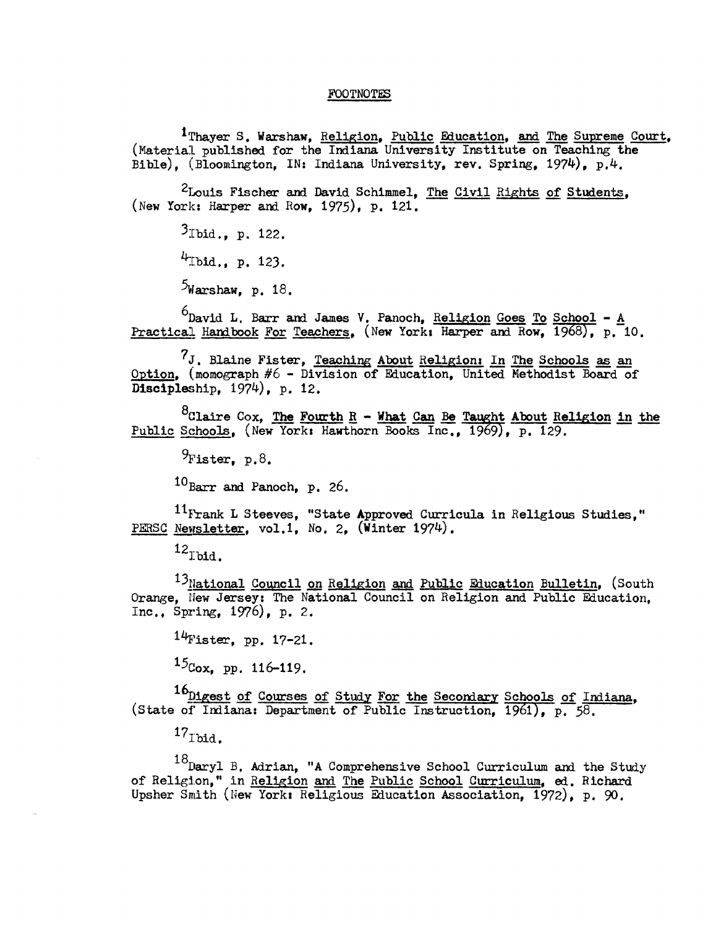#### FOOTNOTES

<sup>I</sup> Thayer S. Warshaw, Religion, Public Education, and The Supreme Court, (Material published for the Indiana University Institute on Teaching the Bible), (Bloomington, IN: Indiana University, rev. Spring, 1974), p.4.

<sup>2</sup>Louis Fischer and David Schimmel, The Civil Rights of Students, (New York: Harper and Row, 1975), p. 121.

 $3$ Ibid ... p. 122.  $4$ Ibid., p. 123.  $5$ Warshaw, p. 18.

 $6$ David L. Barr and James V. Panoch, Religion Goes To School - A Practical Handbook For Teachers, (New York: Harper and Row, 1968), p. 10.

 $'J$ . Blaine Fister, Teaching About Religion: In The Schools as an Option, (momograph #6 - Division of Education, United. Methodist Board of Discipleship, 1974), p. 12.

<sup>8</sup>Claire Cox, The Fourth  $R - W$ hat Can Be Taught About Religion in the Public Schools, (New York: Hawthorn Books Inc., 1969), p. 129.

 $9$ Fister. p.8.

 $10_{\text{Barr}}$  and Panoch, p. 26.

 $^{11}$ Frank L Steeves, "State Approved Curricula in Religious Studies," PERSC Newsletter, vol.1, No. 2, (Winter 1974).

 $12$ Ibid.

<sup>13</sup>National Council on Religion and Public Education Bulletin, (South Orange, New Jersey: The National Council on Religion and Public Education, Inc., Spring,  $1976$ , p. 2.

 $14$ Fister. pp. 17-21.

 $15$ Cox, pp. 116-119.

16<sub>Digest</sub> of Courses of Study For the Secondary Schools of Indiana, (State of Indiana: Department of Public Instruction, 1961), p. 58.

 $17_{\text{thid}}$ .

 $18$ Daryl B. Adrian, "A Comprehensive School Curriculum and the Study of Religion," in Religion and The Public School Curriculum, ed. Richard Ups her Smith (New York: Religious Education Association, 1972), p. 90.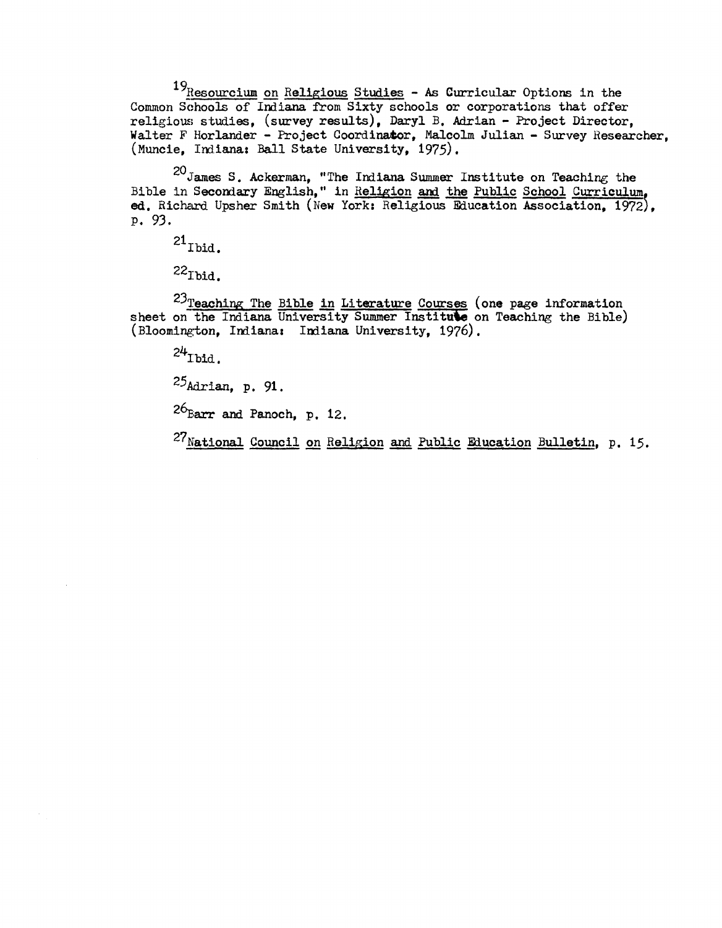$19$ Resourcium on Religious Studies - As Curricular Options in the Common Schools of Indiana from Sixty schools or corporations that offer religious studies, (survey results), Daryl B. Adrian - Project Director, Walter F Horlander - Project Coordinator, Malcolm Julian - Survey Researcher, (Muncie, Indiana: Ball State University, 1975).

 $20J$ ames S. Ackerman. "The Indiana Summer Institute on Teaching the Bible in Secondary English," in Religion and the Public School Curriculum ed. Richard Upsher Smith (New York: Religious Education Association, 1972), P. 93.

 $21$  Ibid.

 $22$ Thid.

<sup>23</sup>Teaching The Bible in Literature Courses (one page information sheet on the Indiana University Summer Institute on Teaching the Bible) (Bloomington, Indiana: Indiana University, 1976).

 $24$ <sub>Ibid</sub>.

25Adrian, p. 91.

 $26$ <sub>Earr</sub> and Panoch, p. 12.

 $27$ National Council on Religion and Public Education Bulletin, p. 15.